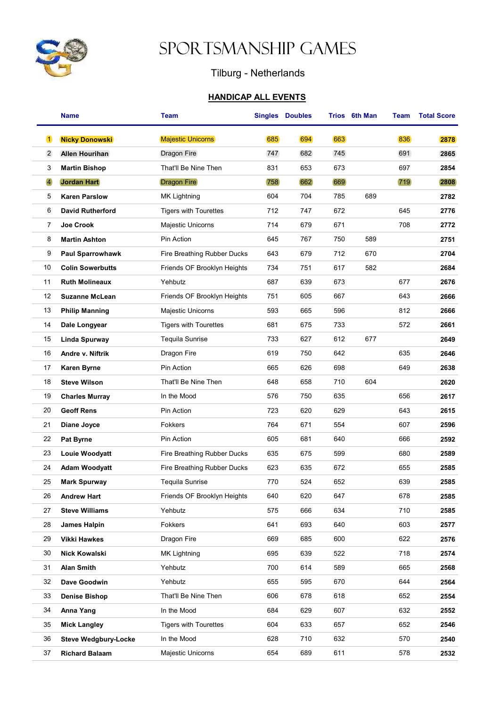

## Sportsmanship Games

## Tilburg - Netherlands

## HANDICAP ALL EVENTS

|                | <b>Name</b>                 | Team                         |     | <b>Singles Doubles</b> |     | Trios 6th Man | Team | <b>Total Score</b> |
|----------------|-----------------------------|------------------------------|-----|------------------------|-----|---------------|------|--------------------|
| $\vert$ 1      | <b>Nicky Donowski</b>       | <b>Majestic Unicorns</b>     | 685 | 694                    | 663 |               | 836  | 2878               |
| $\overline{2}$ | <b>Allen Hourihan</b>       | <b>Dragon Fire</b>           | 747 | 682                    | 745 |               | 691  | 2865               |
| 3              | <b>Martin Bishop</b>        | That'll Be Nine Then         | 831 | 653                    | 673 |               | 697  | 2854               |
| $\overline{4}$ | <b>Jordan Hart</b>          | <b>Dragon Fire</b>           | 758 | 662                    | 669 |               | 719  | 2808               |
| 5              | <b>Karen Parslow</b>        | MK Lightning                 | 604 | 704                    | 785 | 689           |      | 2782               |
| 6              | <b>David Rutherford</b>     | <b>Tigers with Tourettes</b> | 712 | 747                    | 672 |               | 645  | 2776               |
| 7              | Joe Crook                   | Majestic Unicorns            | 714 | 679                    | 671 |               | 708  | 2772               |
| 8              | <b>Martin Ashton</b>        | Pin Action                   | 645 | 767                    | 750 | 589           |      | 2751               |
| 9              | <b>Paul Sparrowhawk</b>     | Fire Breathing Rubber Ducks  | 643 | 679                    | 712 | 670           |      | 2704               |
| 10             | <b>Colin Sowerbutts</b>     | Friends OF Brooklyn Heights  | 734 | 751                    | 617 | 582           |      | 2684               |
| 11             | <b>Ruth Molineaux</b>       | Yehbutz                      | 687 | 639                    | 673 |               | 677  | 2676               |
| 12             | <b>Suzanne McLean</b>       | Friends OF Brooklyn Heights  | 751 | 605                    | 667 |               | 643  | 2666               |
| 13             | <b>Philip Manning</b>       | Majestic Unicorns            | 593 | 665                    | 596 |               | 812  | 2666               |
| 14             | Dale Longyear               | <b>Tigers with Tourettes</b> | 681 | 675                    | 733 |               | 572  | 2661               |
| 15             | Linda Spurway               | Tequila Sunrise              | 733 | 627                    | 612 | 677           |      | 2649               |
| 16             | Andre v. Niftrik            | Dragon Fire                  | 619 | 750                    | 642 |               | 635  | 2646               |
| 17             | <b>Karen Byrne</b>          | Pin Action                   | 665 | 626                    | 698 |               | 649  | 2638               |
| 18             | <b>Steve Wilson</b>         | That'll Be Nine Then         | 648 | 658                    | 710 | 604           |      | 2620               |
| 19             | <b>Charles Murray</b>       | In the Mood                  | 576 | 750                    | 635 |               | 656  | 2617               |
| 20             | <b>Geoff Rens</b>           | Pin Action                   | 723 | 620                    | 629 |               | 643  | 2615               |
| 21             | Diane Joyce                 | Fokkers                      | 764 | 671                    | 554 |               | 607  | 2596               |
| 22             | <b>Pat Byrne</b>            | Pin Action                   | 605 | 681                    | 640 |               | 666  | 2592               |
| 23             | Louie Woodyatt              | Fire Breathing Rubber Ducks  | 635 | 675                    | 599 |               | 680  | 2589               |
| 24             | <b>Adam Woodyatt</b>        | Fire Breathing Rubber Ducks  | 623 | 635                    | 672 |               | 655  | 2585               |
| 25             | <b>Mark Spurway</b>         | Tequila Sunrise              | 770 | 524                    | 652 |               | 639  | 2585               |
| 26             | <b>Andrew Hart</b>          | Friends OF Brooklyn Heights  | 640 | 620                    | 647 |               | 678  | 2585               |
| 27             | <b>Steve Williams</b>       | Yehbutz                      | 575 | 666                    | 634 |               | 710  | 2585               |
| 28             | James Halpin                | Fokkers                      | 641 | 693                    | 640 |               | 603  | 2577               |
| 29             | <b>Vikki Hawkes</b>         | Dragon Fire                  | 669 | 685                    | 600 |               | 622  | 2576               |
| 30             | <b>Nick Kowalski</b>        | MK Lightning                 | 695 | 639                    | 522 |               | 718  | 2574               |
| 31             | <b>Alan Smith</b>           | Yehbutz                      | 700 | 614                    | 589 |               | 665  | 2568               |
| 32             | Dave Goodwin                | Yehbutz                      | 655 | 595                    | 670 |               | 644  | 2564               |
| 33             | <b>Denise Bishop</b>        | That'll Be Nine Then         | 606 | 678                    | 618 |               | 652  | 2554               |
| 34             | Anna Yang                   | In the Mood                  | 684 | 629                    | 607 |               | 632  | 2552               |
| 35             | <b>Mick Langley</b>         | <b>Tigers with Tourettes</b> | 604 | 633                    | 657 |               | 652  | 2546               |
| 36             | <b>Steve Wedgbury-Locke</b> | In the Mood                  | 628 | 710                    | 632 |               | 570  | 2540               |
| 37             | <b>Richard Balaam</b>       | Majestic Unicorns            | 654 | 689                    | 611 |               | 578  | 2532               |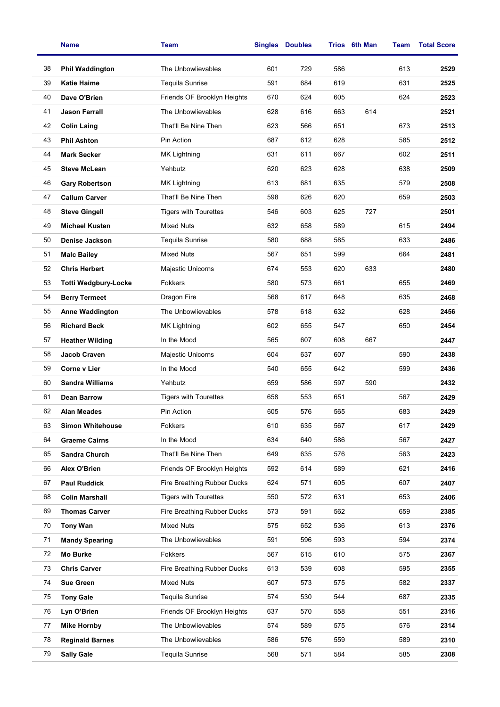|    | <b>Name</b>                 | <b>Team</b>                  | <b>Singles</b><br><b>Doubles</b> |     |     | Trios 6th Man | Team | <b>Total Score</b> |
|----|-----------------------------|------------------------------|----------------------------------|-----|-----|---------------|------|--------------------|
| 38 | <b>Phil Waddington</b>      | The Unbowlievables           | 601                              | 729 | 586 |               | 613  | 2529               |
| 39 | <b>Katie Haime</b>          | <b>Tequila Sunrise</b>       | 591                              | 684 | 619 |               | 631  | 2525               |
| 40 | Dave O'Brien                | Friends OF Brooklyn Heights  | 670                              | 624 | 605 |               | 624  | 2523               |
| 41 | <b>Jason Farrall</b>        | The Unbowlievables           | 628                              | 616 | 663 | 614           |      | 2521               |
| 42 | <b>Colin Laing</b>          | That'll Be Nine Then         | 623                              | 566 | 651 |               | 673  | 2513               |
| 43 | <b>Phil Ashton</b>          | Pin Action                   | 687                              | 612 | 628 |               | 585  | 2512               |
| 44 | <b>Mark Secker</b>          | MK Lightning                 | 631                              | 611 | 667 |               | 602  | 2511               |
| 45 | <b>Steve McLean</b>         | Yehbutz                      | 620                              | 623 | 628 |               | 638  | 2509               |
| 46 | <b>Gary Robertson</b>       | MK Lightning                 | 613                              | 681 | 635 |               | 579  | 2508               |
| 47 | <b>Callum Carver</b>        | That'll Be Nine Then         | 598                              | 626 | 620 |               | 659  | 2503               |
| 48 | <b>Steve Gingell</b>        | <b>Tigers with Tourettes</b> | 546                              | 603 | 625 | 727           |      | 2501               |
| 49 | <b>Michael Kusten</b>       | <b>Mixed Nuts</b>            | 632                              | 658 | 589 |               | 615  | 2494               |
| 50 | Denise Jackson              | <b>Tequila Sunrise</b>       | 580                              | 688 | 585 |               | 633  | 2486               |
| 51 | <b>Malc Bailey</b>          | <b>Mixed Nuts</b>            | 567                              | 651 | 599 |               | 664  | 2481               |
| 52 | <b>Chris Herbert</b>        | Majestic Unicorns            | 674                              | 553 | 620 | 633           |      | 2480               |
| 53 | <b>Totti Wedgbury-Locke</b> | <b>Fokkers</b>               | 580                              | 573 | 661 |               | 655  | 2469               |
| 54 | <b>Berry Termeet</b>        | Dragon Fire                  | 568                              | 617 | 648 |               | 635  | 2468               |
| 55 | <b>Anne Waddington</b>      | The Unbowlievables           | 578                              | 618 | 632 |               | 628  | 2456               |
| 56 | <b>Richard Beck</b>         | MK Lightning                 | 602                              | 655 | 547 |               | 650  | 2454               |
| 57 | <b>Heather Wilding</b>      | In the Mood                  | 565                              | 607 | 608 | 667           |      | 2447               |
| 58 | Jacob Craven                | Majestic Unicorns            | 604                              | 637 | 607 |               | 590  | 2438               |
| 59 | Corne v Lier                | In the Mood                  | 540                              | 655 | 642 |               | 599  | 2436               |
| 60 | <b>Sandra Williams</b>      | Yehbutz                      | 659                              | 586 | 597 | 590           |      | 2432               |
| 61 | <b>Dean Barrow</b>          | <b>Tigers with Tourettes</b> | 658                              | 553 | 651 |               | 567  | 2429               |
| 62 | <b>Alan Meades</b>          | Pin Action                   | 605                              | 576 | 565 |               | 683  | 2429               |
| 63 | <b>Simon Whitehouse</b>     | Fokkers                      | 610                              | 635 | 567 |               | 617  | 2429               |
| 64 | <b>Graeme Cairns</b>        | In the Mood                  | 634                              | 640 | 586 |               | 567  | 2427               |
| 65 | <b>Sandra Church</b>        | That'll Be Nine Then         | 649                              | 635 | 576 |               | 563  | 2423               |
| 66 | Alex O'Brien                | Friends OF Brooklyn Heights  | 592                              | 614 | 589 |               | 621  | 2416               |
| 67 | <b>Paul Ruddick</b>         | Fire Breathing Rubber Ducks  | 624                              | 571 | 605 |               | 607  | 2407               |
| 68 | <b>Colin Marshall</b>       | <b>Tigers with Tourettes</b> | 550                              | 572 | 631 |               | 653  | 2406               |
| 69 | <b>Thomas Carver</b>        | Fire Breathing Rubber Ducks  | 573                              | 591 | 562 |               | 659  | 2385               |
| 70 | <b>Tony Wan</b>             | <b>Mixed Nuts</b>            | 575                              | 652 | 536 |               | 613  | 2376               |
| 71 | <b>Mandy Spearing</b>       | The Unbowlievables           | 591                              | 596 | 593 |               | 594  | 2374               |
| 72 | Mo Burke                    | Fokkers                      | 567                              | 615 | 610 |               | 575  | 2367               |
| 73 | <b>Chris Carver</b>         | Fire Breathing Rubber Ducks  | 613                              | 539 | 608 |               | 595  | 2355               |
| 74 | <b>Sue Green</b>            | <b>Mixed Nuts</b>            | 607                              | 573 | 575 |               | 582  | 2337               |
| 75 | <b>Tony Gale</b>            | <b>Tequila Sunrise</b>       | 574                              | 530 | 544 |               | 687  | 2335               |
| 76 | Lyn O'Brien                 | Friends OF Brooklyn Heights  | 637                              | 570 | 558 |               | 551  | 2316               |
| 77 | <b>Mike Hornby</b>          | The Unbowlievables           | 574                              | 589 | 575 |               | 576  | 2314               |
| 78 | <b>Reginald Barnes</b>      | The Unbowlievables           | 586                              | 576 | 559 |               | 589  | 2310               |
| 79 | <b>Sally Gale</b>           | <b>Tequila Sunrise</b>       | 568                              | 571 | 584 |               | 585  | 2308               |